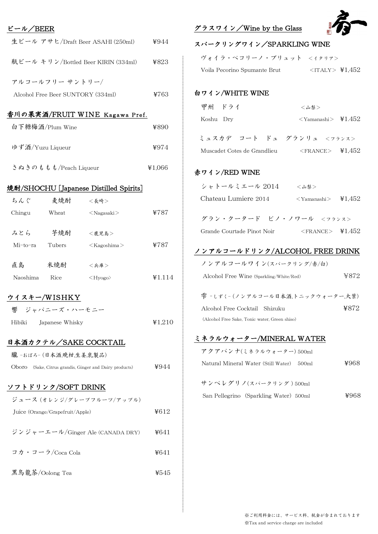| ビール/BEER                            |                           |                                                   |        |
|-------------------------------------|---------------------------|---------------------------------------------------|--------|
| 生ビール アサヒ/Draft Beer ASAHI (250ml)   |                           |                                                   | ¥944   |
| 瓶ビール キリン/Bottled Beer KIRIN (334ml) |                           |                                                   | ¥823   |
|                                     | アルコールフリー サントリー/           |                                                   |        |
| Alcohol Free Beer SUNTORY (334ml)   |                           |                                                   | ¥763   |
|                                     |                           | 香川の果実酒/FRUIT WINE Kagawa Pref.                    |        |
| 白下糖梅酒/Plum Wine                     |                           |                                                   | ¥890   |
| ゆず酒/Yuzu Liqueur                    |                           |                                                   | ¥974   |
| さぬきのももも/Peach Liqueur               |                           |                                                   | ¥1,066 |
|                                     |                           | 焼酎/SHOCHU [Japanese Distilled Spirits]            |        |
| ちんぐ                                 | 麦焼酎   <長崎>                |                                                   |        |
| Chingu                              | Wheat                     | ∠Nagasaki                                         | ¥787   |
|                                     | みとら 芋焼酎                   | <鹿児島>                                             |        |
| Mi-to-ra Tubers                     |                           | <kagoshima></kagoshima>                           | ¥787   |
| 直島 米焼酎                              |                           | <兵庫>                                              |        |
| Naoshima Rice                       |                           | $\langle$ Hyogo $\rangle$                         | ¥1.114 |
|                                     | ウイスキー/WISHKY              |                                                   |        |
| 響                                   | ジャパニーズ・ハーモニー              |                                                   |        |
| Hibiki<br>Japanese Whisky           |                           |                                                   | 41,210 |
|                                     |                           | 日本酒カクテル/SAKE COCKTAIL                             |        |
|                                     | 朧-おぼろ-(日本酒,晩柑,生姜,乳製品)     |                                                   |        |
| Oboro                               |                           | (Sake, Citrus grandis, Ginger and Dairy products) | ¥944   |
|                                     | <u>ソフトドリンク/SOFT DRINK</u> |                                                   |        |
|                                     |                           | ジュース (オレンジ/グレープフルーツ/アップル)                         |        |
| Juice (Orange/Grapefruit/Apple)     |                           |                                                   | ¥612   |
| ジンジャーエール/Ginger Ale (CANADA DRY)    |                           |                                                   | ¥641   |
| コカ・コーラ/Coca Cola                    |                           |                                                   | ¥641   |
| 黑鳥龍茶/Oolong Tea                     |                           |                                                   | ¥545   |

グラスワイン/Wine by the Glass



| スパークリングワイン/SPARKLING WINE                              |                       |      |  |  |  |
|--------------------------------------------------------|-----------------------|------|--|--|--|
| ヴォイラ・ペコリーノ・ブリュット <イタリア>                                |                       |      |  |  |  |
| Voila Pecorino Spumante Brut <italy> \\$1,452</italy>  |                       |      |  |  |  |
| 白ワイン/WHITE WINE                                        |                       |      |  |  |  |
| 甲州 ドライ                                                 | <山梨>                  |      |  |  |  |
| Koshu Dry                                              | $<$ Yamanashi> ¥1.452 |      |  |  |  |
| ミュスカデ コート ドュ グランリュ <フランス>                              |                       |      |  |  |  |
| Muscadet Cotes de Grandlieu <france> \{1,452}</france> |                       |      |  |  |  |
| 赤ワイン/RED WINE                                          |                       |      |  |  |  |
| シャトールミエール 2014 <山梨>                                    |                       |      |  |  |  |
| Chateau Lumiere 2014 < Yamanashi > \, \, \, \, 1,452   |                       |      |  |  |  |
| グラン・クータード ピノ・ノワール <フランス>                               |                       |      |  |  |  |
| Grande Courtade Pinot Noir <france> \\$1.452</france>  |                       |      |  |  |  |
| ノンアルコールドリンク/ALCOHOL FREE DRINK                         |                       |      |  |  |  |
| ノンアルコールワイン(スパークリング/赤/白)                                |                       |      |  |  |  |
| Alcohol Free Wine (Sparkling/White/Red)                |                       | ¥872 |  |  |  |
| 雫 -しずく- (ノンアルコール日本酒,トニックウォーター,大葉)                      |                       |      |  |  |  |
| Alcohol Free Cocktail Shizuku                          |                       | ¥872 |  |  |  |
| (Alcohol Free Sake, Tonic water, Green shiso)          |                       |      |  |  |  |
| ミネラルウォーター/MINERAL WATER                                |                       |      |  |  |  |
| アクアパンナ(ミネラルウォーター) 500ml                                |                       |      |  |  |  |
| Natural Mineral Water (Still Water) 500ml              |                       | ¥968 |  |  |  |
| サンペレグリノ(スパークリング)500ml                                  |                       |      |  |  |  |
| San Pellegrino (Sparkling Water) 500ml                 |                       | ¥968 |  |  |  |
|                                                        |                       |      |  |  |  |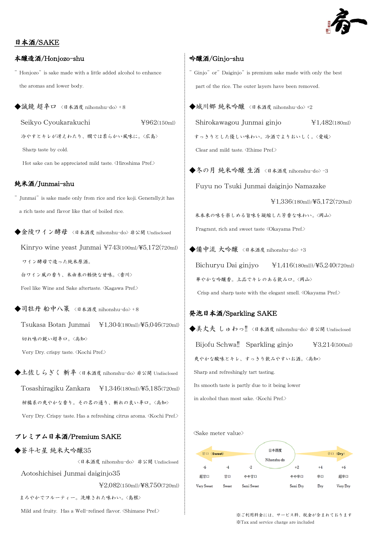

## 日本酒/SAKE

#### 本醸造酒/Honjozo-shu

"Honjozo"is sake made with a little added alcohol to enhance the aromas and lower body.

◆誠鏡 超辛口 〈日本酒度 nihonshu-do〉 + 8

Seikyo Cyoukarakuchi  $\qquad \qquad \text{4962(150ml)}$ 

冷やすとキレが冴えわたり、燗では柔らかい風味に。<広島> Sharp taste by cold.

Hot sake can be appreciated mild taste. <Hiroshima Pref.>

#### 純米酒/Junmai-shu

"Junmai"is sake made only from rice and rice koji. Generally,it has a rich taste and flavor like that of boiled rice.

◆金陵ワイン酵母 〈日本酒度 nihonshu-do〉 非公開 Undisclosed Kinryo wine yeast Junmai  $\text{Y}743(100\text{m})/\text{Y}5.172(720\text{m})$ ワイン酵母で造った純米原酒。

白ワイン風の香り、米由来の軽快な甘味。<香川>

Feel like Wine and Sake aftertaste. <Kagawa Pref.>

◆司牡丹 船中八策 <日本酒度 nihonshu-do> +8 Tsukasa Botan Junmai \1,304(180ml)/¥5,046(720ml) 切れ味の鋭い超辛口。<高知> Very Dry. crispy taste. <Kochi Pref.>

◆土佐しらぎく 斬辛 <日本酒度 nihonshu-do> 非公開 Undisclosed Tosashiragiku Zankara \1,346(180ml)/¥5,185(720ml) 柑橘系の爽やかな香り。その名の通り、斬れの良い辛口。<高知>

Very Dry. Crispy taste. Has a refreshing citrus aroma. <Kochi Pref.>

## プレミアム日本酒/Premium SAKE

◆蒼斗七星 純米大吟醸35

 <日本酒度 nihonshu-do> 非公開 Undisclosed Aotoshichisei Junmai daiginjo35 \2,082(150ml)/¥8,750(720ml) まろやかでフルーティー。洗練された味わい。<島根>

Mild and fruity. Has a Well-refined flavor. <Shimane Pref.>

#### 吟醸酒/Ginjo-shu

- " Ginjo" or" Daiginjo" is premium sake made with only the best part of the rice. The outer layers have been removed.
- ◆城川郷 純米吟醸 <日本酒度 nihonshu-do> +2 Shirokawagou Junmai ginjo \1,482(180ml) すっきりとした優しい味わい。冷酒でよりおいしく。<愛媛> Clear and mild taste. <Ehime Pref.>

◆冬の月 純米吟醸 生酒 <日本酒度 nihonshu-do>-3 Fuyu no Tsuki Junmai daiginjo Namazake

\1,336(180ml)/¥5,172(720ml)

 米本来の味を楽しめる旨味を凝縮した芳香な味わい。<岡山> Fragrant, rich and sweet taste <Okayama Pref.>

◆備中流 大吟醸 <日本酒度 nihonshu-do> +3 Bichuryu Dai ginjyo  $\frac{1}{41.416(180 \text{m}))}{45,240(720 \text{m})}$  華やかな吟醸香。上品でキレのある飲み口。<岡山> Crisp and sharp taste with the elegant smell.  $\langle$ Okayama Pref. $\rangle$ 

#### 発泡日本酒/Sparkling SAKE

◆美丈夫 しゅわっ!! <日本酒度 nihonshu-do> 非公開 Undisclosed Bijofu Schwa!! Sparkling ginjo \\$3,214(500ml) 爽やかな酸味とキレ、すっきり飲みやすいお酒。<高知> Sharp and refreshingly tart tasting. Its smooth taste is partly due to it being lower

in alcohol than most sake. <Kochi Pref.>

<Sake meter value>



※ご利用料金には、サービス料、税金が含まれております ※Tax and service charge are included